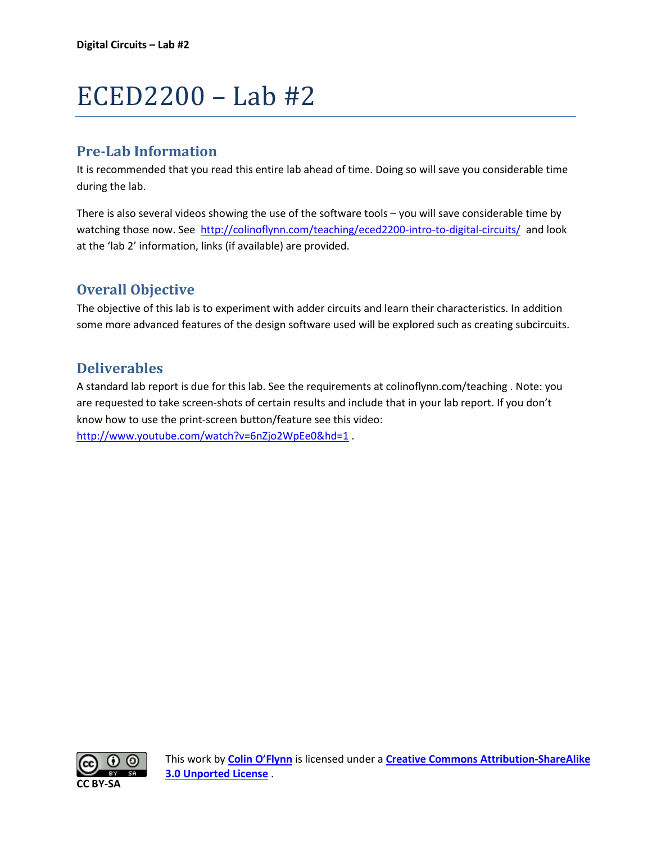# ECED2200 – Lab #2

# **Pre-Lab Information**

It is recommended that you read this entire lab ahead of time. Doing so will save you considerable time during the lab.

There is also several videos showing the use of the software tools – you will save considerable time by watching those now. See<http://colinoflynn.com/teaching/eced2200-intro-to-digital-circuits/>and look at the 'lab 2' information, links (if available) are provided.

# **Overall Objective**

The objective of this lab is to experiment with adder circuits and learn their characteristics. In addition some more advanced features of the design software used will be explored such as creating subcircuits.

# **Deliverables**

A standard lab report is due for this lab. See the requirements at colinoflynn.com/teaching . Note: you are requested to take screen-shots of certain results and include that in your lab report. If you don't know how to use the print-screen button/feature see this video: <http://www.youtube.com/watch?v=6nZjo2WpEe0&hd=1>.

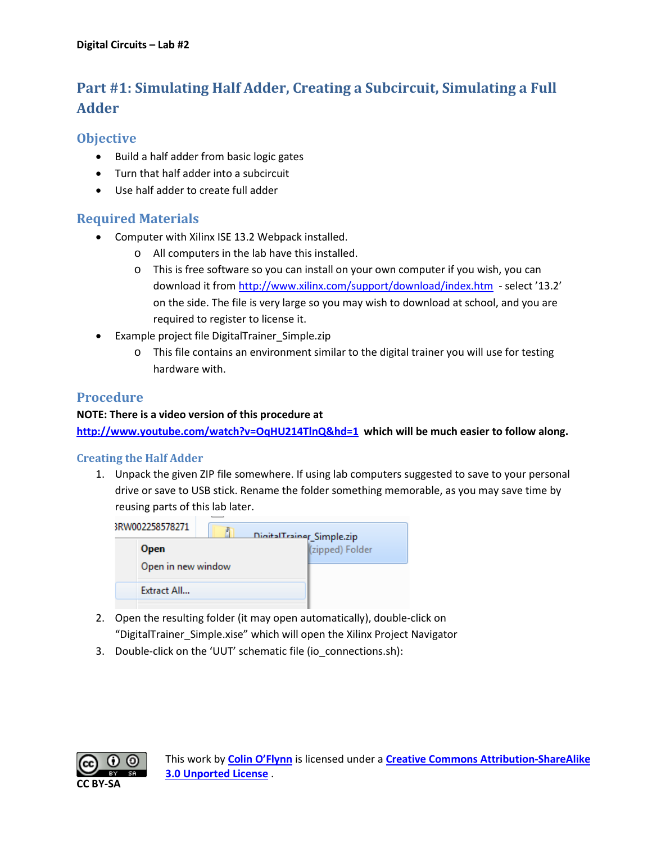# **Part #1: Simulating Half Adder, Creating a Subcircuit, Simulating a Full Adder**

# **Objective**

- Build a half adder from basic logic gates
- Turn that half adder into a subcircuit
- Use half adder to create full adder

# **Required Materials**

- Computer with Xilinx ISE 13.2 Webpack installed.
	- o All computers in the lab have this installed.
	- o This is free software so you can install on your own computer if you wish, you can download it from<http://www.xilinx.com/support/download/index.htm>- select '13.2' on the side. The file is very large so you may wish to download at school, and you are required to register to license it.
- Example project file DigitalTrainer Simple.zip
	- o This file contains an environment similar to the digital trainer you will use for testing hardware with.

# **Procedure**

#### **NOTE: There is a video version of this procedure at**

**<http://www.youtube.com/watch?v=OqHU214TlnQ&hd=1> which will be much easier to follow along.**

## **Creating the Half Adder**

1. Unpack the given ZIP file somewhere. If using lab computers suggested to save to your personal drive or save to USB stick. Rename the folder something memorable, as you may save time by reusing parts of this lab later.

| 3RW002258578271    | DigitalTrainer_Simple.zip |                 |
|--------------------|---------------------------|-----------------|
| <b>Open</b>        |                           | (zipped) Folder |
| Open in new window |                           |                 |
| Extract All        |                           |                 |
|                    |                           |                 |

- 2. Open the resulting folder (it may open automatically), double-click on "DigitalTrainer\_Simple.xise" which will open the Xilinx Project Navigator
- 3. Double-click on the 'UUT' schematic file (io\_connections.sh):

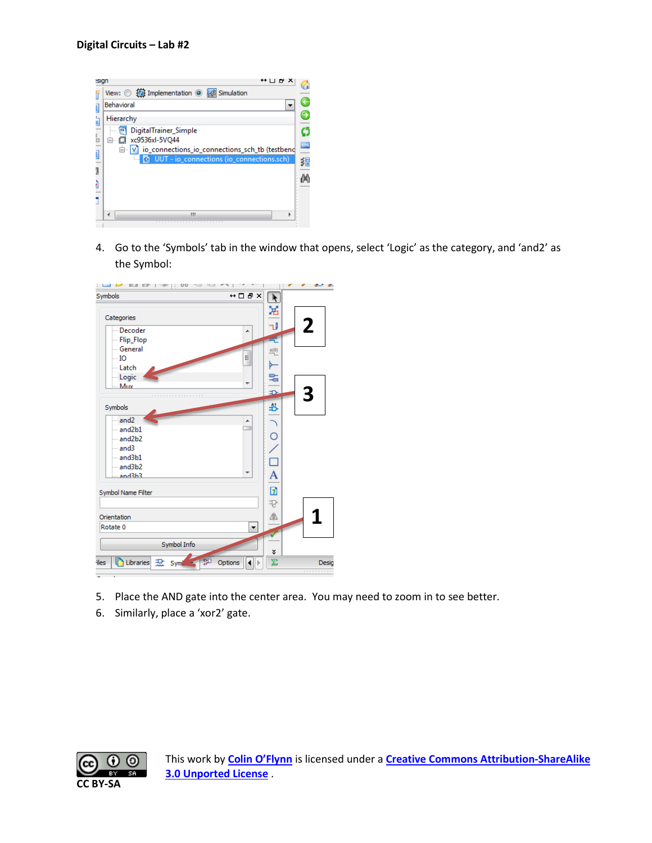

4. Go to the 'Symbols' tab in the window that opens, select 'Logic' as the category, and 'and2' as the Symbol:



- 5. Place the AND gate into the center area. You may need to zoom in to see better.
- 6. Similarly, place a 'xor2' gate.

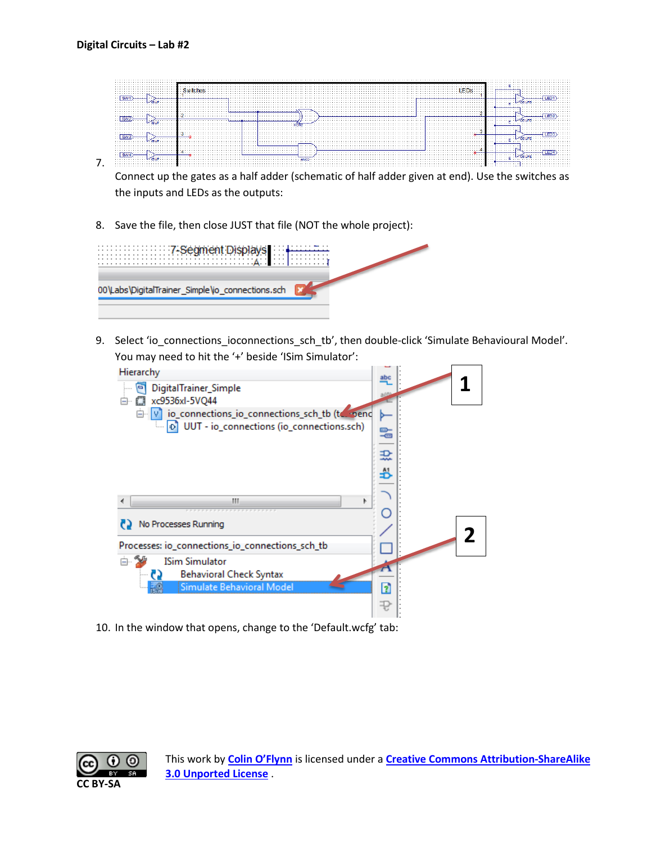

Connect up the gates as a half adder (schematic of half adder given at end). Use the switches as the inputs and LEDs as the outputs:

8. Save the file, then close JUST that file (NOT the whole project):

| WELL WELL WELL TASE ament Disp<br>.              |  |
|--------------------------------------------------|--|
| 00\Labs\DigitalTrainer_Simple\io_connections.sch |  |

9. Select 'io\_connections\_ioconnections\_sch\_tb', then double-click 'Simulate Behavioural Model'. You may need to hit the '+' beside 'ISim Simulator':



10. In the window that opens, change to the 'Default.wcfg' tab:

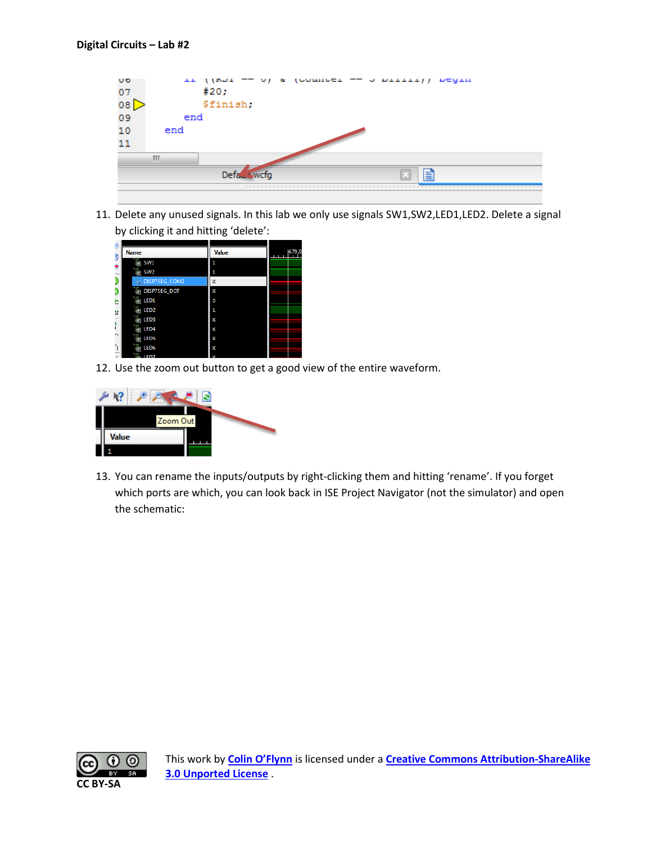

11. Delete any unused signals. In this lab we only use signals SW1,SW2,LED1,LED2. Delete a signal by clicking it and hitting 'delete':

| ŝ  | <b>Name</b>            | <b>Value</b> | 679,9 |
|----|------------------------|--------------|-------|
|    | SW1                    | 1            |       |
|    | SW <sub>2</sub>        | 1            |       |
|    | DISP7SEG_COM2          | X            |       |
|    | DISP7SEG_DOT<br>45     | Х            |       |
|    | Щ,<br>LED1             | ٥            |       |
| ١r | LED <sub>2</sub><br>J. | 1            |       |
|    | LED <sub>3</sub>       | Χ            |       |
|    | LED4                   | Х            |       |
|    | LED <sub>5</sub>       | Х            |       |
| 私  | LED <sub>6</sub>       | Х            |       |
|    | <b>ED7</b>             |              |       |

12. Use the zoom out button to get a good view of the entire waveform.



13. You can rename the inputs/outputs by right-clicking them and hitting 'rename'. If you forget which ports are which, you can look back in ISE Project Navigator (not the simulator) and open the schematic:

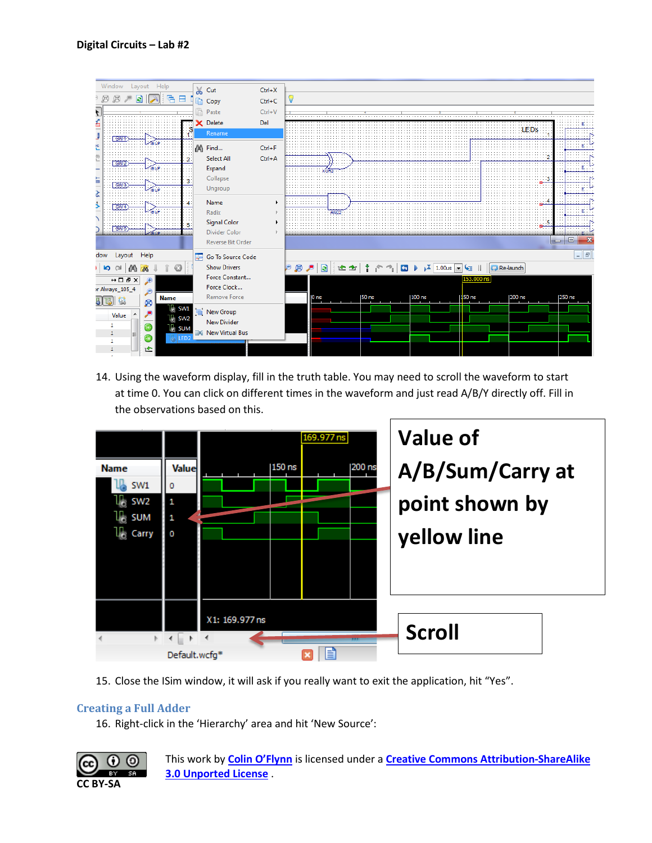| Window<br>Help<br>Layout                                        |   | % Cut                                   | $Ctrl+X$   |                                                                                                                                                                                                                                                                                                                             |
|-----------------------------------------------------------------|---|-----------------------------------------|------------|-----------------------------------------------------------------------------------------------------------------------------------------------------------------------------------------------------------------------------------------------------------------------------------------------------------------------------|
| ⊛<br>ø<br>€<br><b>e</b><br>⊟                                    |   | <b>Le Copy</b>                          | $Ctrl + C$ | V                                                                                                                                                                                                                                                                                                                           |
| $\overline{\cdot}$                                              | B | Paste                                   | $Ctrl + V$ |                                                                                                                                                                                                                                                                                                                             |
|                                                                 |   |                                         |            |                                                                                                                                                                                                                                                                                                                             |
| s                                                               |   | X Delete                                | Del        | <b>LEDS</b>                                                                                                                                                                                                                                                                                                                 |
| 1.                                                              |   | Rename                                  |            |                                                                                                                                                                                                                                                                                                                             |
|                                                                 |   | A Find                                  | $Ctrl + F$ |                                                                                                                                                                                                                                                                                                                             |
|                                                                 |   |                                         |            |                                                                                                                                                                                                                                                                                                                             |
| 인<br>L                                                          |   | <b>Select All</b>                       | $Ctrl + A$ |                                                                                                                                                                                                                                                                                                                             |
|                                                                 |   | Expand                                  |            |                                                                                                                                                                                                                                                                                                                             |
|                                                                 |   | Collapse                                |            |                                                                                                                                                                                                                                                                                                                             |
| lii h                                                           |   | Ungroup                                 |            |                                                                                                                                                                                                                                                                                                                             |
|                                                                 |   | Name                                    |            |                                                                                                                                                                                                                                                                                                                             |
| 5                                                               |   |                                         |            |                                                                                                                                                                                                                                                                                                                             |
|                                                                 |   | Radix                                   |            | AND <sub>2</sub>                                                                                                                                                                                                                                                                                                            |
|                                                                 |   | <b>Signal Color</b>                     |            | -5                                                                                                                                                                                                                                                                                                                          |
|                                                                 |   | Divider Color                           |            |                                                                                                                                                                                                                                                                                                                             |
|                                                                 |   | <b>Reverse Bit Order</b>                |            | $\Box$<br>$\Box$                                                                                                                                                                                                                                                                                                            |
| Layout<br>Help<br>dow                                           |   | <b>E</b> <sup>o</sup> Go To Source Code |            | $  $ $=$ $ $                                                                                                                                                                                                                                                                                                                |
|                                                                 |   | <b>Show Drivers</b>                     |            |                                                                                                                                                                                                                                                                                                                             |
| <b>b</b> a<br>偤<br>M                                            |   |                                         |            | $\frac{1}{4}$ $\leftarrow$ $\rightarrow$ $\left\vert \begin{array}{ccc} \square & \vdots & \vdots \end{array} \right\vert$ $\sqrt{2}$ 1.00us $\rightarrow$ $\sqrt{3}$ II $\left\vert \begin{array}{ccc} \square & \square & \square \end{array} \right\vert$ Re-launch<br>$\bullet$ $\bullet$ $\bullet$<br>计图查<br>$\bullet$ |
| $\leftrightarrow$ $\Box$ $\bar{\theta}$ $\times$<br>$\bigoplus$ |   | Force Constant                          |            | 153.000 ns                                                                                                                                                                                                                                                                                                                  |
| r Always_105_4                                                  |   | Force Clock                             |            |                                                                                                                                                                                                                                                                                                                             |
| <b>Name</b><br>54<br>ø                                          |   | <b>Remove Force</b>                     |            | $100$ ns<br>$150$ ns<br>200 ns<br>50 <sub>ns</sub><br>250 ns<br>0 <sub>ns</sub>                                                                                                                                                                                                                                             |
| l∦ swi                                                          |   | New Group                               |            |                                                                                                                                                                                                                                                                                                                             |
| Value<br>$\mathbb{U}_\mathbb{Q}$ sw2                            |   |                                         |            |                                                                                                                                                                                                                                                                                                                             |
| 1<br>r)<br>u, sum                                               |   | <b>New Divider</b>                      |            |                                                                                                                                                                                                                                                                                                                             |
| 1<br>Ξ<br><b>喝IED</b>                                           |   | <b>New Virtual Bus</b>                  |            |                                                                                                                                                                                                                                                                                                                             |
| 1<br>ъ                                                          |   |                                         |            |                                                                                                                                                                                                                                                                                                                             |
|                                                                 |   |                                         |            |                                                                                                                                                                                                                                                                                                                             |

14. Using the waveform display, fill in the truth table. You may need to scroll the waveform to start at time 0. You can click on different times in the waveform and just read A/B/Y directly off. Fill in the observations based on this.



15. Close the ISim window, it will ask if you really want to exit the application, hit "Yes".

## **Creating a Full Adder**

16. Right-click in the 'Hierarchy' area and hit 'New Source':

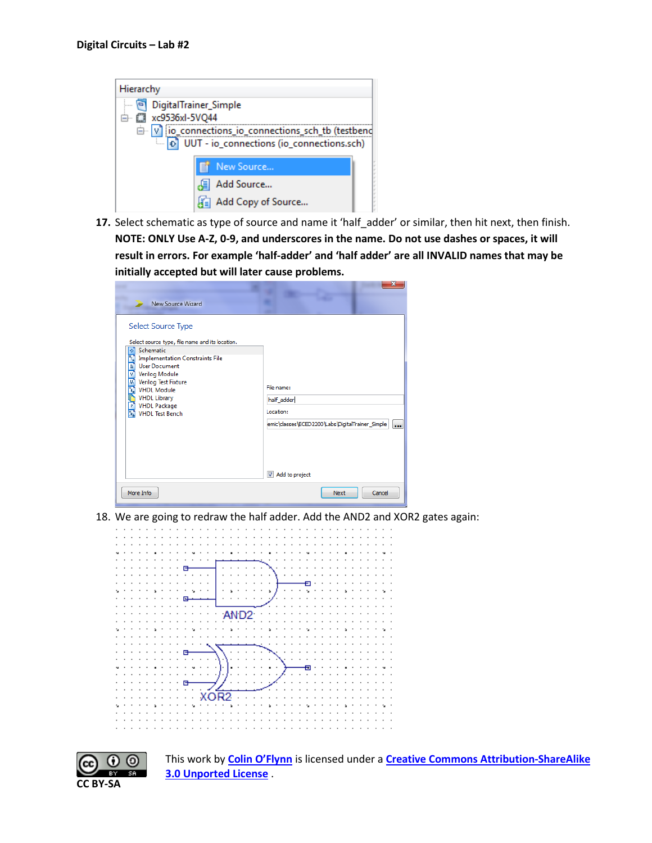| Hierarchy                                               |  |  |  |
|---------------------------------------------------------|--|--|--|
| DigitalTrainer_Simple                                   |  |  |  |
| 白 ( xc9536xl-5VQ44                                      |  |  |  |
| in violence connections_io_connections_sch_tb (testbend |  |  |  |
| DJ UUT - io_connections (io_connections.sch)            |  |  |  |
|                                                         |  |  |  |
| New Source                                              |  |  |  |
| Add Source                                              |  |  |  |
| Add Copy of Source                                      |  |  |  |

**17.** Select schematic as type of source and name it 'half\_adder' or similar, then hit next, then finish. **NOTE: ONLY Use A-Z, 0-9, and underscores in the name. Do not use dashes or spaces, it will result in errors. For example 'half-adder' and 'half adder' are all INVALID names that may be initially accepted but will later cause problems.**

| New Source Wizard                                                                                                                                                                                                                                                                                                        | 23                                                                                                                      |
|--------------------------------------------------------------------------------------------------------------------------------------------------------------------------------------------------------------------------------------------------------------------------------------------------------------------------|-------------------------------------------------------------------------------------------------------------------------|
| Select Source Type<br>Select source type, file name and its location.<br>Schematic<br>Ы<br><b>Implementation Constraints File</b><br>Ч,<br>Ę<br><b>User Document</b><br>Verilog Module<br>医肾中<br>Verilog Test Fixture<br><b>VHDL Module</b><br><b>VHDL Library</b><br>P<br><b>VHDL Package</b><br><b>VHDL Test Bench</b> | File name:<br>half_adder<br>Location:<br>emic\classes\ECED2200\Labs\DigitalTrainer_Simple<br>$\cdots$<br>Add to project |
| More Info                                                                                                                                                                                                                                                                                                                | Next<br>Cancel                                                                                                          |

18. We are going to redraw the half adder. Add the AND2 and XOR2 gates again:



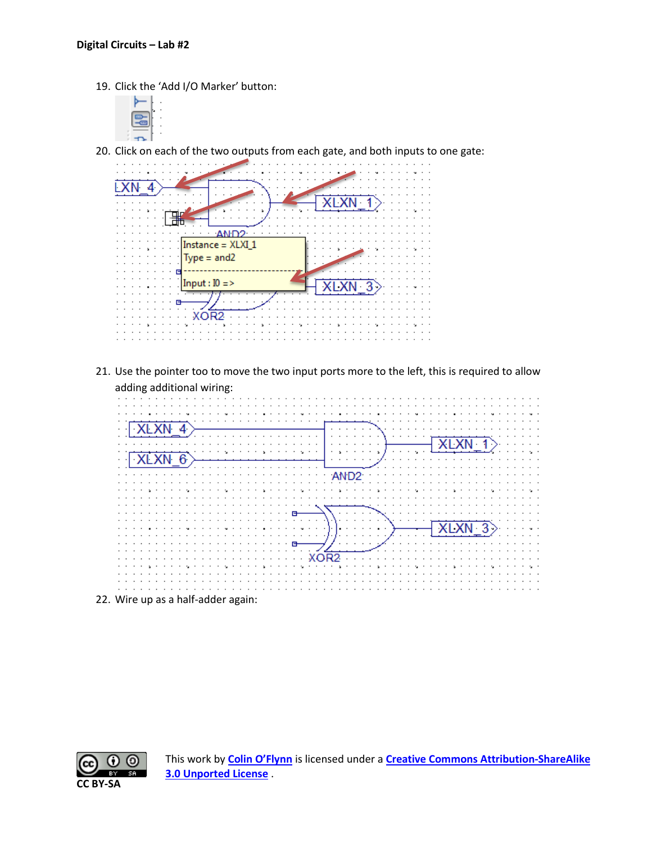19. Click the 'Add I/O Marker' button:



20. Click on each of the two outputs from each gate, and both inputs to one gate:



21. Use the pointer too to move the two input ports more to the left, this is required to allow adding additional wiring:



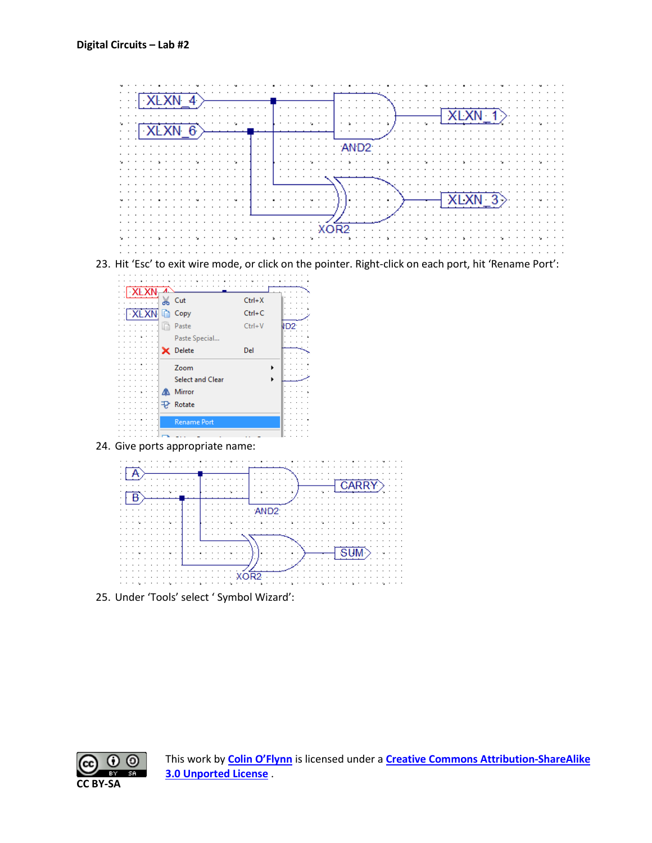



24. Give ports appropriate name:



25. Under 'Tools' select ' Symbol Wizard':

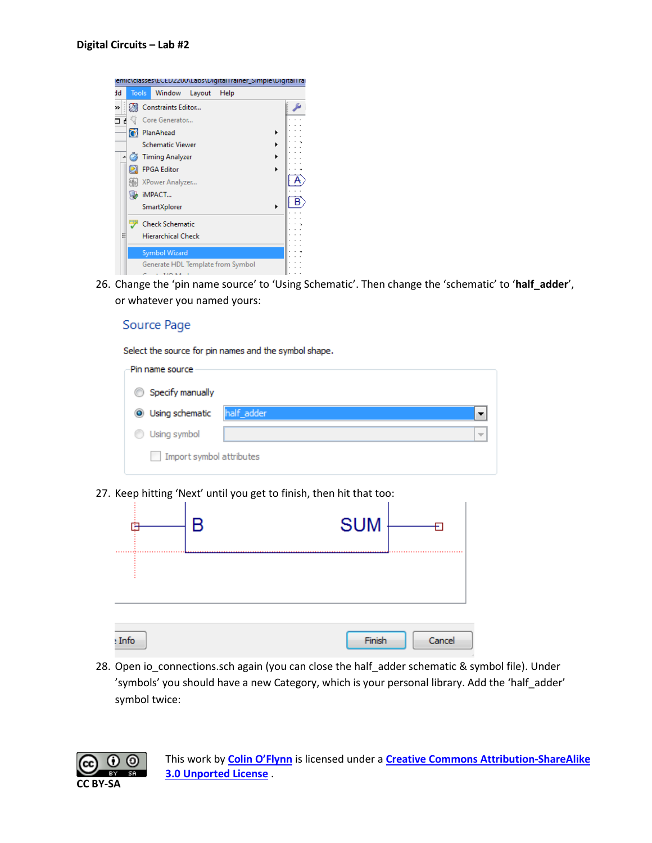

26. Change the 'pin name source' to 'Using Schematic'. Then change the 'schematic' to '**half\_adder**', or whatever you named yours:

#### Source Page

Select the source for pin names and the symbol shape.

| Pin name source                 |            |                          |
|---------------------------------|------------|--------------------------|
| Specify manually<br>0           |            |                          |
| Using schematic<br>$\bullet$    | half_adder |                          |
| Using symbol                    |            | $\overline{\phantom{a}}$ |
| Import symbol attributes<br>e e |            |                          |

27. Keep hitting 'Next' until you get to finish, then hit that too:

|        | B | <b>SUM</b> |        |  |
|--------|---|------------|--------|--|
|        |   |            |        |  |
| : Info |   | Finish     | Cancel |  |

28. Open io\_connections.sch again (you can close the half\_adder schematic & symbol file). Under 'symbols' you should have a new Category, which is your personal library. Add the 'half\_adder' symbol twice:

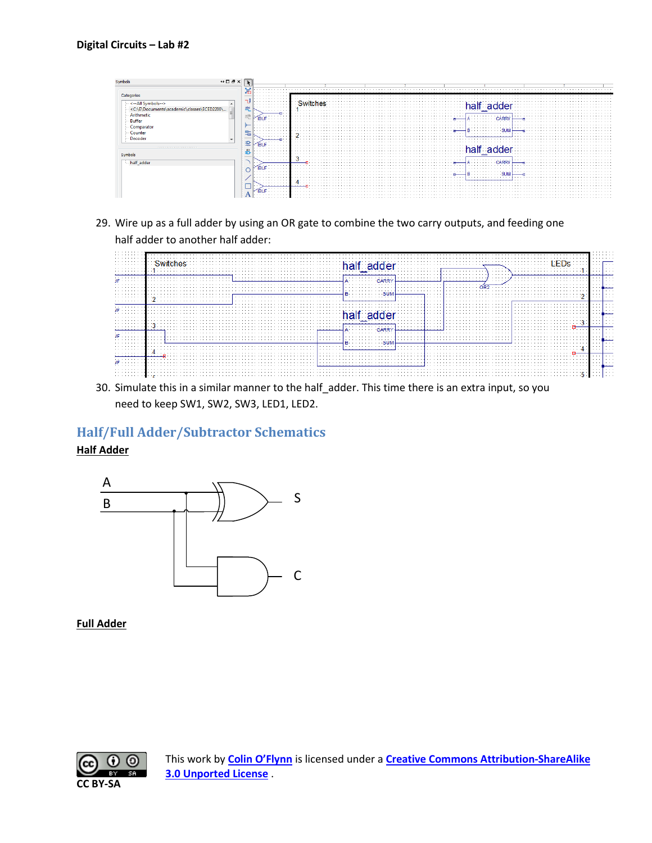

29. Wire up as a full adder by using an OR gate to combine the two carry outputs, and feeding one half adder to another half adder:



30. Simulate this in a similar manner to the half\_adder. This time there is an extra input, so you need to keep SW1, SW2, SW3, LED1, LED2.

# **Half/Full Adder/Subtractor Schematics**

**Half Adder**



**Full Adder**

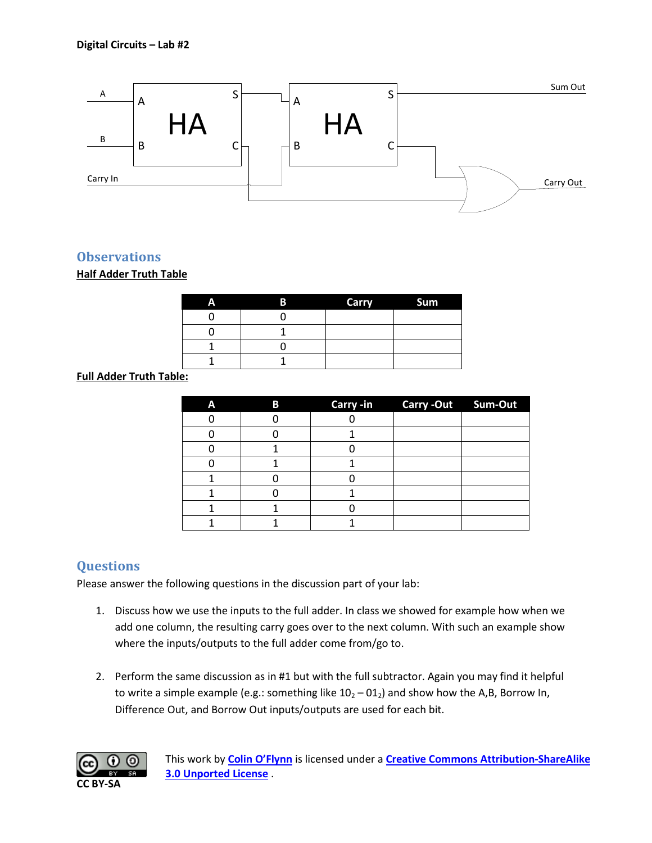

## **Observations**

#### **Half Adder Truth Table**

| Α | B | <b>Carry</b> | Sum |
|---|---|--------------|-----|
|   |   |              |     |
|   |   |              |     |
|   |   |              |     |
|   |   |              |     |

#### **Full Adder Truth Table:**

| A | B | Carry -in Carry -Out Sum-Out |  |
|---|---|------------------------------|--|
|   |   |                              |  |
|   |   |                              |  |
|   |   |                              |  |
|   |   |                              |  |
|   |   |                              |  |
|   |   |                              |  |
|   |   |                              |  |
|   |   |                              |  |

# **Questions**

Please answer the following questions in the discussion part of your lab:

- 1. Discuss how we use the inputs to the full adder. In class we showed for example how when we add one column, the resulting carry goes over to the next column. With such an example show where the inputs/outputs to the full adder come from/go to.
- 2. Perform the same discussion as in #1 but with the full subtractor. Again you may find it helpful to write a simple example (e.g.: something like  $10<sub>2</sub> - 01<sub>2</sub>$ ) and show how the A,B, Borrow In, Difference Out, and Borrow Out inputs/outputs are used for each bit.

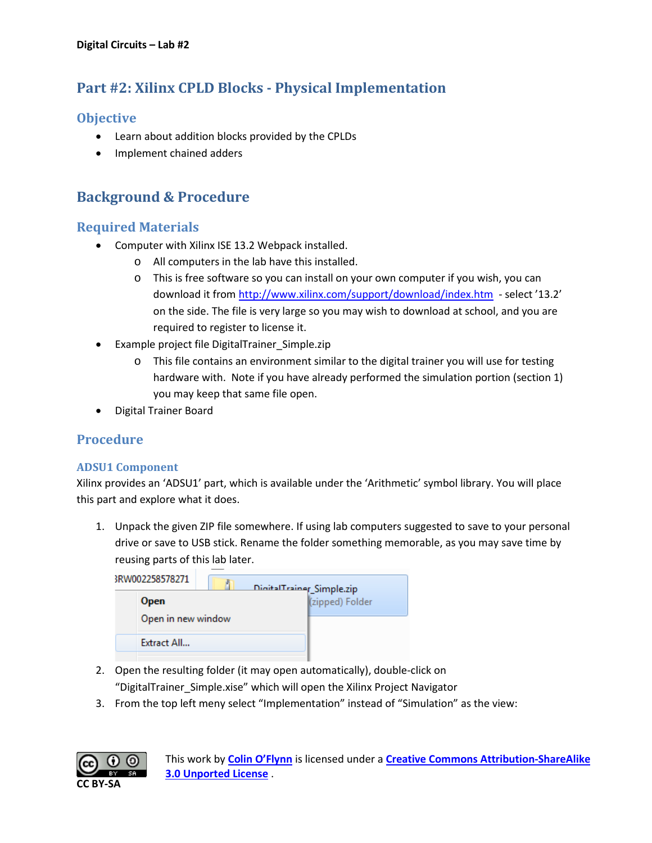# **Part #2: Xilinx CPLD Blocks - Physical Implementation**

## **Objective**

- Learn about addition blocks provided by the CPLDs
- Implement chained adders

# **Background & Procedure**

## **Required Materials**

- Computer with Xilinx ISE 13.2 Webpack installed.
	- o All computers in the lab have this installed.
	- o This is free software so you can install on your own computer if you wish, you can download it from<http://www.xilinx.com/support/download/index.htm>- select '13.2' on the side. The file is very large so you may wish to download at school, and you are required to register to license it.
- Example project file DigitalTrainer\_Simple.zip
	- o This file contains an environment similar to the digital trainer you will use for testing hardware with. Note if you have already performed the simulation portion (section 1) you may keep that same file open.
- Digital Trainer Board

## **Procedure**

#### **ADSU1 Component**

Xilinx provides an 'ADSU1' part, which is available under the 'Arithmetic' symbol library. You will place this part and explore what it does.

1. Unpack the given ZIP file somewhere. If using lab computers suggested to save to your personal drive or save to USB stick. Rename the folder something memorable, as you may save time by reusing parts of this lab later.

| 3RW002258578271    | DigitalTrainer_Simple.zip |
|--------------------|---------------------------|
| <b>Open</b>        | (zipped) Folder           |
| Open in new window |                           |
| Extract All        |                           |
|                    |                           |

- 2. Open the resulting folder (it may open automatically), double-click on "DigitalTrainer\_Simple.xise" which will open the Xilinx Project Navigator
- 3. From the top left meny select "Implementation" instead of "Simulation" as the view:

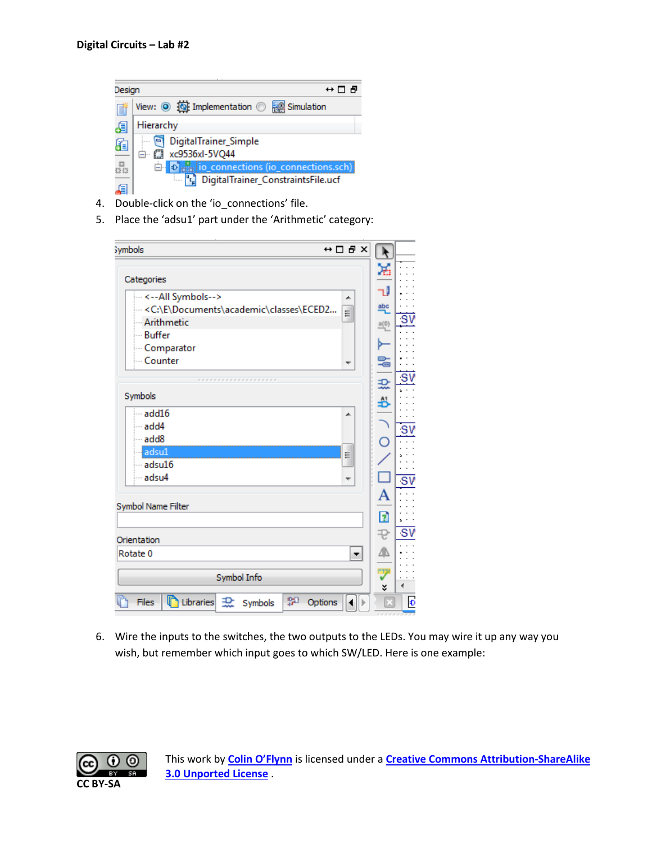

- 4. Double-click on the 'io\_connections' file.
- 5. Place the 'adsu1' part under the 'Arithmetic' category:

| $\leftrightarrow$ $\Box$ $\Box$ $\times$<br><b>Symbols</b>         | $\mathbf{r}$ |     |
|--------------------------------------------------------------------|--------------|-----|
| Categories                                                         | ж            |     |
| ---<--All Symbols--><br>▲                                          | - 1          |     |
| < C:\E\Documents\academic\classes\ECED2<br>$\equiv$                | abc          |     |
| - Arithmetic                                                       | a(0)         |     |
| $\overline{\phantom{a}}$ - Buffer                                  |              |     |
| - Comparator                                                       |              |     |
| - Counter<br>┯                                                     | 姜            |     |
|                                                                    |              |     |
| <b>*************</b>                                               | 괐            |     |
| Symbols                                                            | ₩            |     |
| $-$ add $16$<br>▲                                                  |              |     |
| ⊧… add4                                                            |              | ۰S۷ |
| add8                                                               | C            |     |
| adsu1<br>틔                                                         |              |     |
| $-$ adsu $16$                                                      |              |     |
| adsu4<br>┯                                                         |              | ۰S٧ |
|                                                                    | А            |     |
| Symbol Name Filter                                                 |              |     |
|                                                                    | n            |     |
|                                                                    | ₽            | ۰S۷ |
| Orientation                                                        |              |     |
| Rotate <sub>0</sub><br>۰                                           | 4            |     |
| Symbol Info                                                        | ワ<br>×       |     |
| 鸮<br><b>D</b> Libraries 1<br>Files<br>Options<br>ь<br>Symbols<br>◂ |              | Đ   |

6. Wire the inputs to the switches, the two outputs to the LEDs. You may wire it up any way you wish, but remember which input goes to which SW/LED. Here is one example:

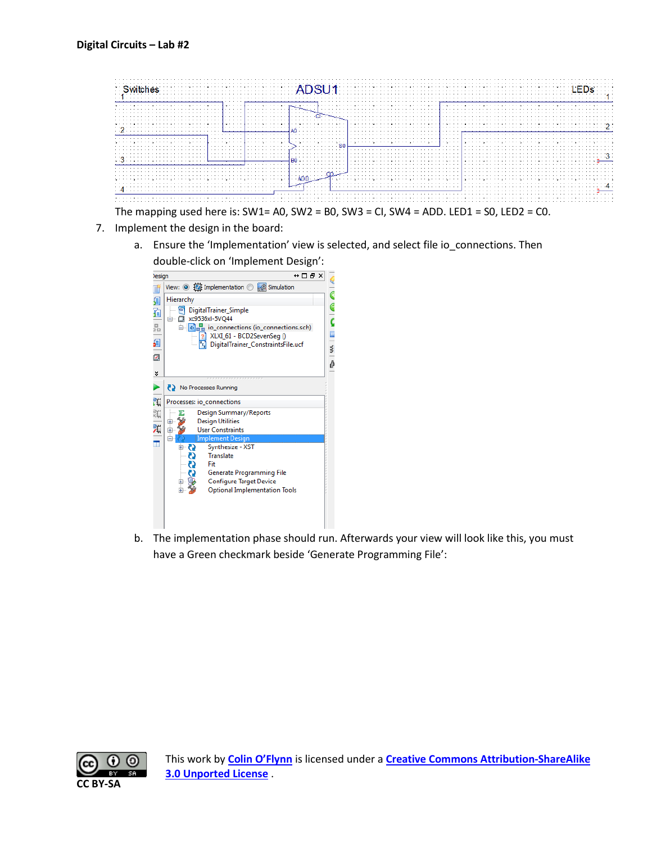

- 7. Implement the design in the board:
	- a. Ensure the 'Implementation' view is selected, and select file io\_connections. Then double-click on 'Implement Design':



b. The implementation phase should run. Afterwards your view will look like this, you must have a Green checkmark beside 'Generate Programming File':

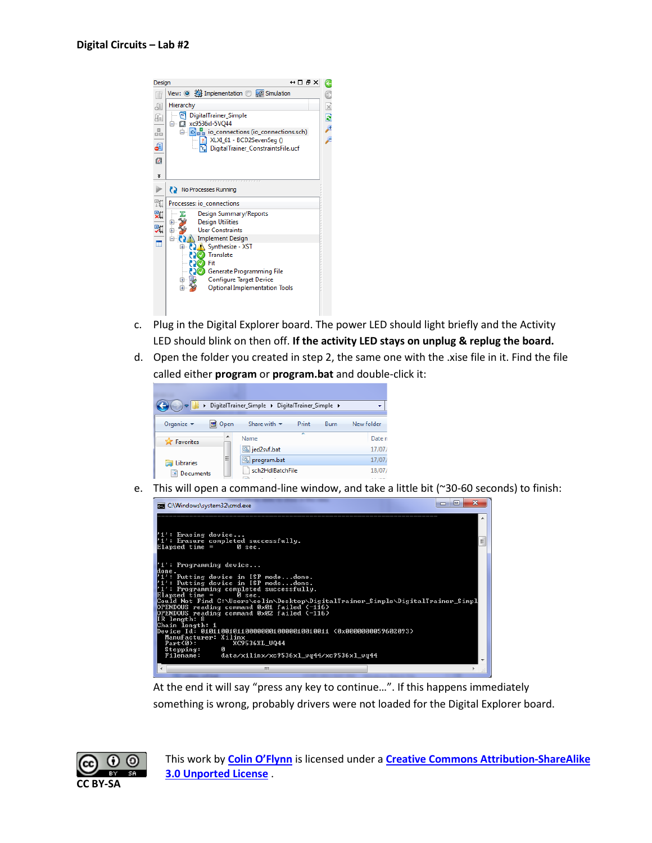

- c. Plug in the Digital Explorer board. The power LED should light briefly and the Activity LED should blink on then off. **If the activity LED stays on unplug & replug the board.**
- d. Open the folder you created in step 2, the same one with the .xise file in it. Find the file called either **program** or **program.bat** and double-click it:



e. This will open a command-line window, and take a little bit (~30-60 seconds) to finish:



At the end it will say "press any key to continue…". If this happens immediately something is wrong, probably drivers were not loaded for the Digital Explorer board.

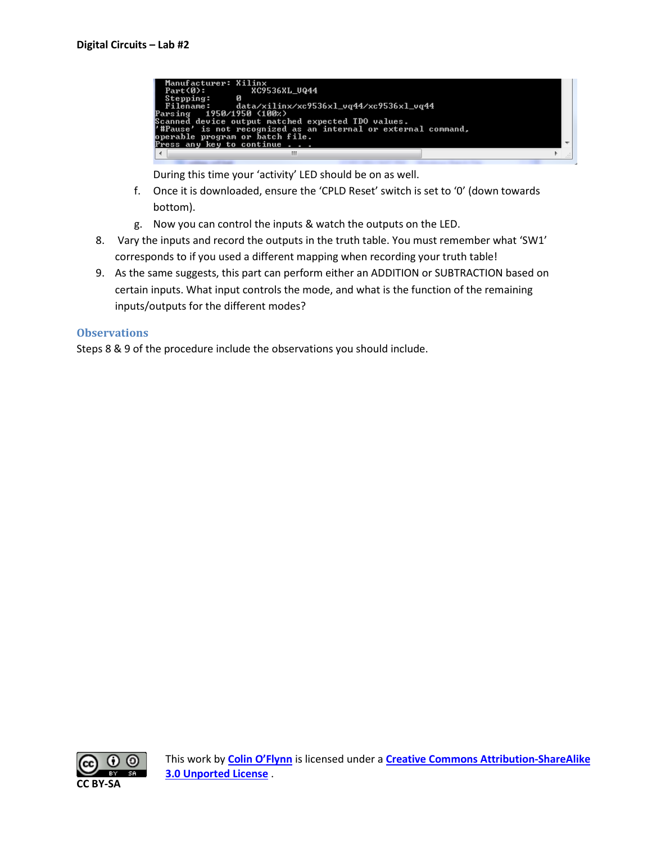

During this time your 'activity' LED should be on as well.

- f. Once it is downloaded, ensure the 'CPLD Reset' switch is set to '0' (down towards bottom).
- g. Now you can control the inputs & watch the outputs on the LED.
- 8. Vary the inputs and record the outputs in the truth table. You must remember what 'SW1' corresponds to if you used a different mapping when recording your truth table!
- 9. As the same suggests, this part can perform either an ADDITION or SUBTRACTION based on certain inputs. What input controls the mode, and what is the function of the remaining inputs/outputs for the different modes?

#### **Observations**

Steps 8 & 9 of the procedure include the observations you should include.

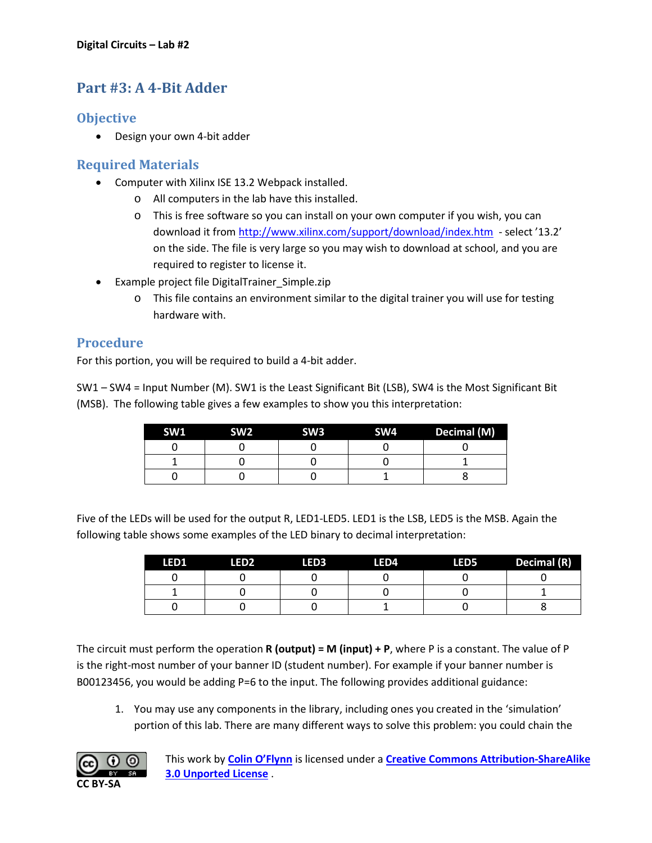# **Part #3: A 4-Bit Adder**

# **Objective**

• Design your own 4-bit adder

# **Required Materials**

- Computer with Xilinx ISE 13.2 Webpack installed.
	- o All computers in the lab have this installed.
	- o This is free software so you can install on your own computer if you wish, you can download it from<http://www.xilinx.com/support/download/index.htm>- select '13.2' on the side. The file is very large so you may wish to download at school, and you are required to register to license it.
- Example project file DigitalTrainer Simple.zip
	- $\circ$  This file contains an environment similar to the digital trainer you will use for testing hardware with.

## **Procedure**

For this portion, you will be required to build a 4-bit adder.

SW1 – SW4 = Input Number (M). SW1 is the Least Significant Bit (LSB), SW4 is the Most Significant Bit (MSB). The following table gives a few examples to show you this interpretation:

| SW <sub>1</sub> | SW <sub>2</sub> | SW <sub>3</sub> | SW4 | Decimal (M) |
|-----------------|-----------------|-----------------|-----|-------------|
|                 |                 |                 |     |             |
|                 |                 |                 |     |             |
|                 |                 |                 |     |             |

Five of the LEDs will be used for the output R, LED1-LED5. LED1 is the LSB, LED5 is the MSB. Again the following table shows some examples of the LED binary to decimal interpretation:

| LED1 | <b>LED2</b> | LED3 | LED4 | LED5 | Decimal (R) |
|------|-------------|------|------|------|-------------|
|      |             |      |      |      |             |
|      |             |      |      |      |             |
|      |             |      |      |      |             |

The circuit must perform the operation **R (output) = M (input) + P**, where P is a constant. The value of P is the right-most number of your banner ID (student number). For example if your banner number is B00123456, you would be adding P=6 to the input. The following provides additional guidance:

1. You may use any components in the library, including ones you created in the 'simulation' portion of this lab. There are many different ways to solve this problem: you could chain the

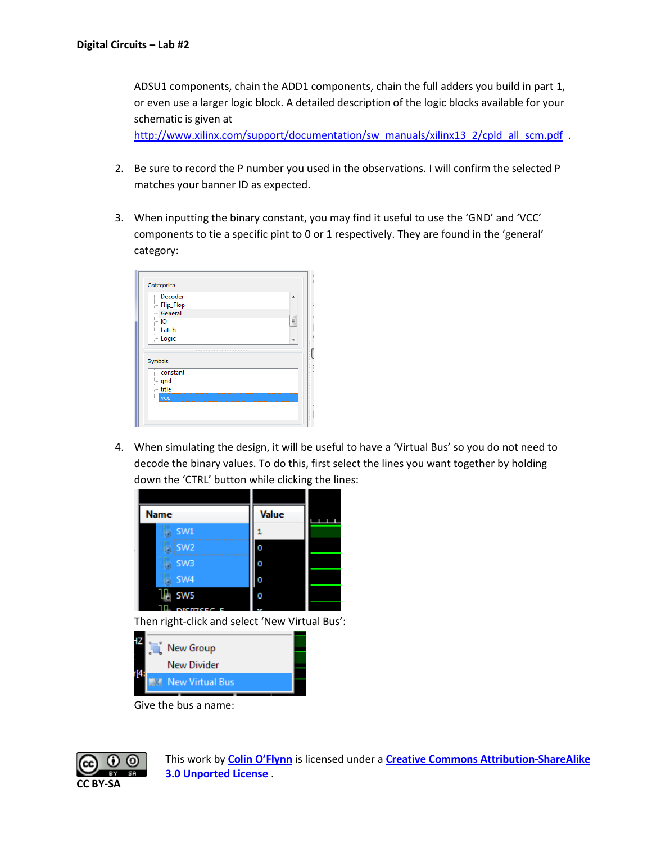ADSU1 components, chain the ADD1 components, chain the full adders you build in part 1, or even use a larger logic block. A detailed description of the logic blocks available for your schematic is given at

[http://www.xilinx.com/support/documentation/sw\\_manuals/xilinx13\\_2/cpld\\_all\\_scm.pdf](http://www.xilinx.com/support/documentation/sw_manuals/xilinx13_2/cpld_all_scm.pdf) .

- 2. Be sure to record the P number you used in the observations. I will confirm the selected P matches your banner ID as expected.
- 3. When inputting the binary constant, you may find it useful to use the 'GND' and 'VCC' components to tie a specific pint to 0 or 1 respectively. They are found in the 'general' category:

| Decoder               | ۸ |
|-----------------------|---|
| - Flip_Flop           |   |
| General               |   |
| - 10                  | Ξ |
| - Latch               |   |
| - Logic               |   |
| ********************* |   |
| Symbols               |   |
| constant              |   |
| ∣— gnd                |   |
|                       |   |
| $-$ title             |   |

4. When simulating the design, it will be useful to have a 'Virtual Bus' so you do not need to decode the binary values. To do this, first select the lines you want together by holding down the 'CTRL' button while clicking the lines:



Then right-click and select 'New Virtual Bus':

|  | New Group              |  |
|--|------------------------|--|
|  | New Divider            |  |
|  | <b>New Virtual Bus</b> |  |
|  |                        |  |

Give the bus a name:

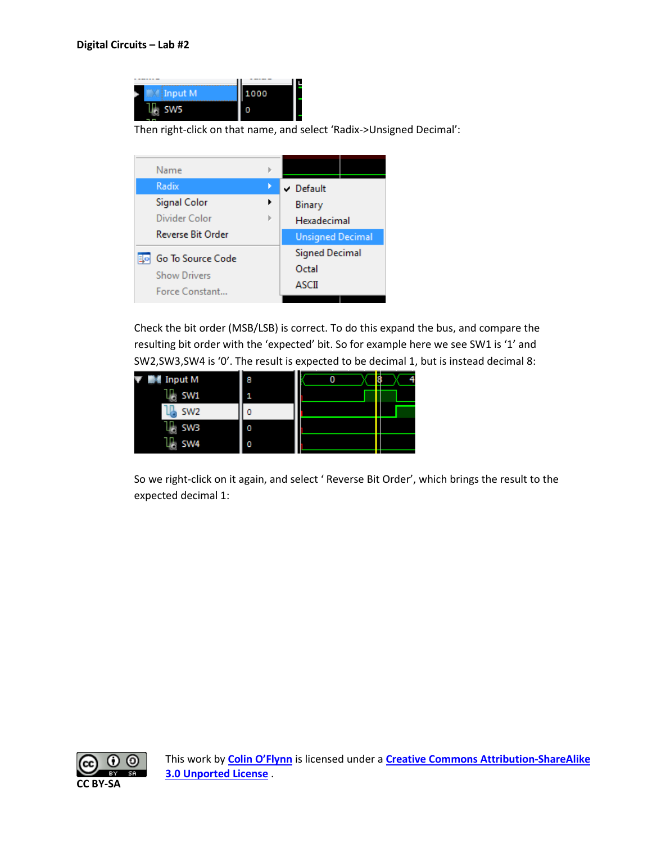

Then right-click on that name, and select 'Radix->Unsigned Decimal':

| Name                     |  |                         |  |
|--------------------------|--|-------------------------|--|
| Radix                    |  | $\vee$ Default          |  |
| <b>Signal Color</b>      |  | Binary                  |  |
| Divider Color            |  | Hexadecimal             |  |
| <b>Reverse Bit Order</b> |  | <b>Unsigned Decimal</b> |  |
| Go To Source Code<br>Eko |  | <b>Signed Decimal</b>   |  |
| <b>Show Drivers</b>      |  | Octal                   |  |
| Force Constant           |  | ASCII                   |  |

Check the bit order (MSB/LSB) is correct. To do this expand the bus, and compare the resulting bit order with the 'expected' bit. So for example here we see SW1 is '1' and SW2,SW3,SW4 is '0'. The result is expected to be decimal 1, but is instead decimal 8:

| M⊪ Input M      | 8 | n |
|-----------------|---|---|
| SW1<br>Ġ        |   |   |
| SW <sub>2</sub> |   |   |
| <b>SW3</b><br>ä |   |   |
| SW4             | n |   |

So we right-click on it again, and select ' Reverse Bit Order', which brings the result to the expected decimal 1:

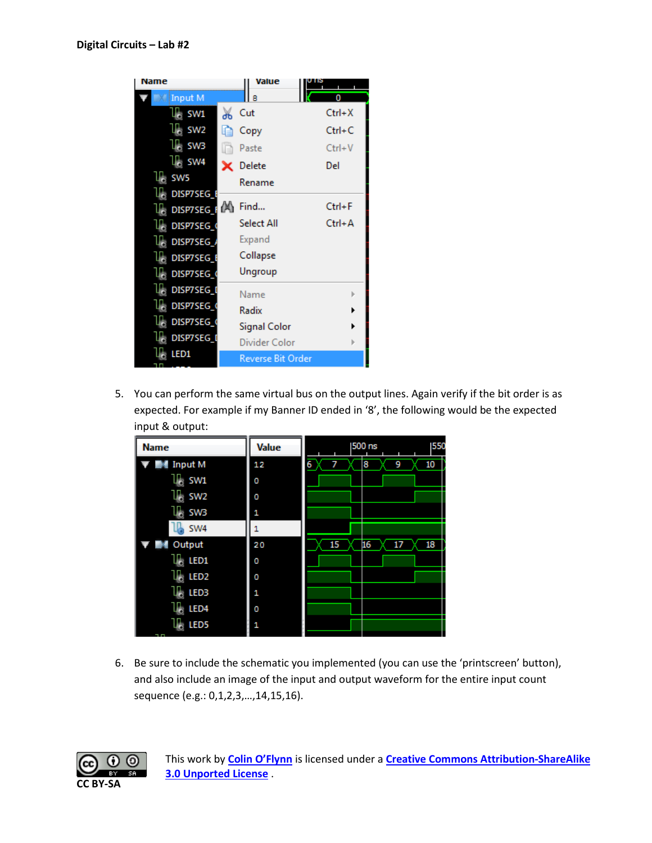

5. You can perform the same virtual bus on the output lines. Again verify if the bit order is as expected. For example if my Banner ID ended in '8', the following would be the expected input & output:

| <b>Name</b>      | Value | 500 ns           | 550 |
|------------------|-------|------------------|-----|
| <b>Input M</b>   | 12    | 7<br>8<br>9<br>6 | 10  |
| SW1              | 0     |                  |     |
| SW <sub>2</sub>  | 0     |                  |     |
| <b>SW3</b>       | 1     |                  |     |
| SW <sub>4</sub>  |       |                  |     |
| Output<br>иX.    | 20    | 16<br>15<br>17   | 18  |
| LED1             | 0     |                  |     |
| LED <sub>2</sub> | 0     |                  |     |
| LED3             | 1     |                  |     |
| LED <sub>4</sub> | 0     |                  |     |
| LED5             | 1     |                  |     |

6. Be sure to include the schematic you implemented (you can use the 'printscreen' button), and also include an image of the input and output waveform for the entire input count sequence (e.g.: 0,1,2,3,…,14,15,16).